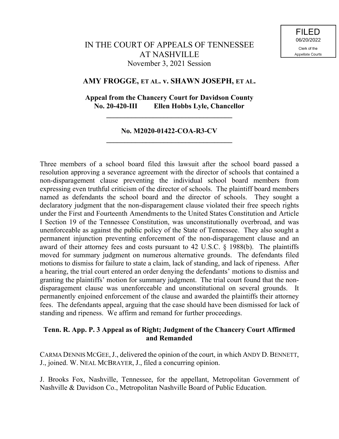# IN THE COURT OF APPEALS OF TENNESSEE AT NASHVILLE November 3, 2021 Session

# **AMY FROGGE, ET AL. v. SHAWN JOSEPH, ET AL.**

# **Appeal from the Chancery Court for Davidson County No. 20-420-III Ellen Hobbs Lyle, Chancellor**

**\_\_\_\_\_\_\_\_\_\_\_\_\_\_\_\_\_\_\_\_\_\_\_\_\_\_\_\_\_\_\_\_\_\_\_**

# **No. M2020-01422-COA-R3-CV \_\_\_\_\_\_\_\_\_\_\_\_\_\_\_\_\_\_\_\_\_\_\_\_\_\_\_\_\_\_\_\_\_\_\_**

Three members of a school board filed this lawsuit after the school board passed a resolution approving a severance agreement with the director of schools that contained a non-disparagement clause preventing the individual school board members from expressing even truthful criticism of the director of schools. The plaintiff board members named as defendants the school board and the director of schools. They sought a declaratory judgment that the non-disparagement clause violated their free speech rights under the First and Fourteenth Amendments to the United States Constitution and Article I Section 19 of the Tennessee Constitution, was unconstitutionally overbroad, and was unenforceable as against the public policy of the State of Tennessee. They also sought a permanent injunction preventing enforcement of the non-disparagement clause and an award of their attorney fees and costs pursuant to 42 U.S.C. § 1988(b). The plaintiffs moved for summary judgment on numerous alternative grounds. The defendants filed motions to dismiss for failure to state a claim, lack of standing, and lack of ripeness. After a hearing, the trial court entered an order denying the defendants' motions to dismiss and granting the plaintiffs' motion for summary judgment. The trial court found that the nondisparagement clause was unenforceable and unconstitutional on several grounds. permanently enjoined enforcement of the clause and awarded the plaintiffs their attorney fees. The defendants appeal, arguing that the case should have been dismissed for lack of standing and ripeness. We affirm and remand for further proceedings.

# **Tenn. R. App. P. 3 Appeal as of Right; Judgment of the Chancery Court Affirmed and Remanded**

CARMA DENNIS MCGEE, J., delivered the opinion of the court, in which ANDY D. BENNETT, J., joined. W. NEAL MCBRAYER, J., filed a concurring opinion.

J. Brooks Fox, Nashville, Tennessee, for the appellant, Metropolitan Government of Nashville & Davidson Co., Metropolitan Nashville Board of Public Education.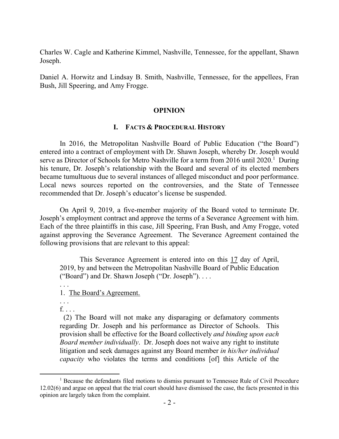Charles W. Cagle and Katherine Kimmel, Nashville, Tennessee, for the appellant, Shawn Joseph.

Daniel A. Horwitz and Lindsay B. Smith, Nashville, Tennessee, for the appellees, Fran Bush, Jill Speering, and Amy Frogge.

## **OPINION**

### **I. FACTS & PROCEDURAL HISTORY**

In 2016, the Metropolitan Nashville Board of Public Education ("the Board") entered into a contract of employment with Dr. Shawn Joseph, whereby Dr. Joseph would serve as Director of Schools for Metro Nashville for a term from  $2016$  until  $2020$ <sup>1</sup> During his tenure, Dr. Joseph's relationship with the Board and several of its elected members became tumultuous due to several instances of alleged misconduct and poor performance. Local news sources reported on the controversies, and the State of Tennessee recommended that Dr. Joseph's educator's license be suspended.

On April 9, 2019, a five-member majority of the Board voted to terminate Dr. Joseph's employment contract and approve the terms of a Severance Agreement with him. Each of the three plaintiffs in this case, Jill Speering, Fran Bush, and Amy Frogge, voted against approving the Severance Agreement. The Severance Agreement contained the following provisions that are relevant to this appeal:

This Severance Agreement is entered into on this 17 day of April, 2019, by and between the Metropolitan Nashville Board of Public Education ("Board") and Dr. Shawn Joseph ("Dr. Joseph"). . . .

1. The Board's Agreement.

. . .  $f_{\ldots}$ .

. . .

 (2) The Board will not make any disparaging or defamatory comments regarding Dr. Joseph and his performance as Director of Schools. This provision shall be effective for the Board collectively *and binding upon each Board member individually*. Dr. Joseph does not waive any right to institute litigation and seek damages against any Board member *in his/her individual capacity* who violates the terms and conditions [of] this Article of the

<sup>&</sup>lt;sup>1</sup> Because the defendants filed motions to dismiss pursuant to Tennessee Rule of Civil Procedure 12.02(6) and argue on appeal that the trial court should have dismissed the case, the facts presented in this opinion are largely taken from the complaint.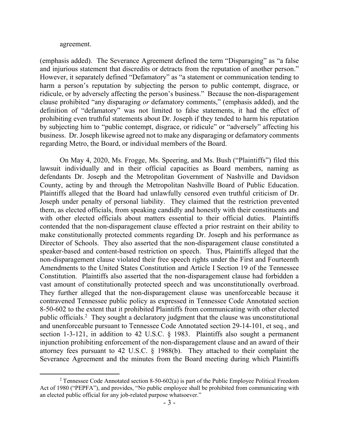#### agreement.

(emphasis added). The Severance Agreement defined the term "Disparaging" as "a false and injurious statement that discredits or detracts from the reputation of another person." However, it separately defined "Defamatory" as "a statement or communication tending to harm a person's reputation by subjecting the person to public contempt, disgrace, or ridicule, or by adversely affecting the person's business." Because the non-disparagement clause prohibited "any disparaging *or* defamatory comments," (emphasis added), and the definition of "defamatory" was not limited to false statements, it had the effect of prohibiting even truthful statements about Dr. Joseph if they tended to harm his reputation by subjecting him to "public contempt, disgrace, or ridicule" or "adversely" affecting his business. Dr. Joseph likewise agreed not to make any disparaging or defamatory comments regarding Metro, the Board, or individual members of the Board.

On May 4, 2020, Ms. Frogge, Ms. Speering, and Ms. Bush ("Plaintiffs") filed this lawsuit individually and in their official capacities as Board members, naming as defendants Dr. Joseph and the Metropolitan Government of Nashville and Davidson County, acting by and through the Metropolitan Nashville Board of Public Education. Plaintiffs alleged that the Board had unlawfully censored even truthful criticism of Dr. Joseph under penalty of personal liability. They claimed that the restriction prevented them, as elected officials, from speaking candidly and honestly with their constituents and with other elected officials about matters essential to their official duties. Plaintiffs contended that the non-disparagement clause effected a prior restraint on their ability to make constitutionally protected comments regarding Dr. Joseph and his performance as Director of Schools. They also asserted that the non-disparagement clause constituted a speaker-based and content-based restriction on speech. Thus, Plaintiffs alleged that the non-disparagement clause violated their free speech rights under the First and Fourteenth Amendments to the United States Constitution and Article I Section 19 of the Tennessee Constitution. Plaintiffs also asserted that the non-disparagement clause had forbidden a vast amount of constitutionally protected speech and was unconstitutionally overbroad. They further alleged that the non-disparagement clause was unenforceable because it contravened Tennessee public policy as expressed in Tennessee Code Annotated section 8-50-602 to the extent that it prohibited Plaintiffs from communicating with other elected public officials.<sup>2</sup> They sought a declaratory judgment that the clause was unconstitutional and unenforceable pursuant to Tennessee Code Annotated section 29-14-101, et seq., and section 1-3-121, in addition to 42 U.S.C. § 1983. Plaintiffs also sought a permanent injunction prohibiting enforcement of the non-disparagement clause and an award of their attorney fees pursuant to 42 U.S.C. § 1988(b). They attached to their complaint the Severance Agreement and the minutes from the Board meeting during which Plaintiffs

<sup>&</sup>lt;sup>2</sup> Tennessee Code Annotated section 8-50-602(a) is part of the Public Employee Political Freedom Act of 1980 ("PEPFA"), and provides, "No public employee shall be prohibited from communicating with an elected public official for any job-related purpose whatsoever."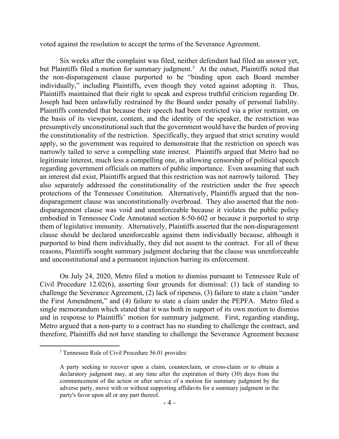voted against the resolution to accept the terms of the Severance Agreement.

Six weeks after the complaint was filed, neither defendant had filed an answer yet, but Plaintiffs filed a motion for summary judgment.<sup>3</sup> At the outset, Plaintiffs noted that the non-disparagement clause purported to be "binding upon each Board member individually," including Plaintiffs, even though they voted against adopting it. Thus, Plaintiffs maintained that their right to speak and express truthful criticism regarding Dr. Joseph had been unlawfully restrained by the Board under penalty of personal liability. Plaintiffs contended that because their speech had been restricted via a prior restraint, on the basis of its viewpoint, content, and the identity of the speaker, the restriction was presumptively unconstitutional such that the government would have the burden of proving the constitutionality of the restriction. Specifically, they argued that strict scrutiny would apply, so the government was required to demonstrate that the restriction on speech was narrowly tailed to serve a compelling state interest. Plaintiffs argued that Metro had no legitimate interest, much less a compelling one, in allowing censorship of political speech regarding government officials on matters of public importance. Even assuming that such an interest did exist, Plaintiffs argued that this restriction was not narrowly tailored. They also separately addressed the constitutionality of the restriction under the free speech protections of the Tennessee Constitution. Alternatively, Plaintiffs argued that the nondisparagement clause was unconstitutionally overbroad. They also asserted that the nondisparagement clause was void and unenforceable because it violates the public policy embodied in Tennessee Code Annotated section 8-50-602 or because it purported to strip them of legislative immunity. Alternatively, Plaintiffs asserted that the non-disparagement clause should be declared unenforceable against them individually because, although it purported to bind them individually, they did not assent to the contract. For all of these reasons, Plaintiffs sought summary judgment declaring that the clause was unenforceable and unconstitutional and a permanent injunction barring its enforcement.

On July 24, 2020, Metro filed a motion to dismiss pursuant to Tennessee Rule of Civil Procedure 12.02(6), asserting four grounds for dismissal: (1) lack of standing to challenge the Severance Agreement, (2) lack of ripeness, (3) failure to state a claim "under the First Amendment," and (4) failure to state a claim under the PEPFA. Metro filed a single memorandum which stated that it was both in support of its own motion to dismiss and in response to Plaintiffs' motion for summary judgment. First, regarding standing, Metro argued that a non-party to a contract has no standing to challenge the contract, and therefore, Plaintiffs did not have standing to challenge the Severance Agreement because

<sup>&</sup>lt;sup>3</sup> Tennessee Rule of Civil Procedure 56.01 provides:

A party seeking to recover upon a claim, counterclaim, or cross-claim or to obtain a declaratory judgment may, at any time after the expiration of thirty (30) days from the commencement of the action or after service of a motion for summary judgment by the adverse party, move with or without supporting affidavits for a summary judgment in the party's favor upon all or any part thereof.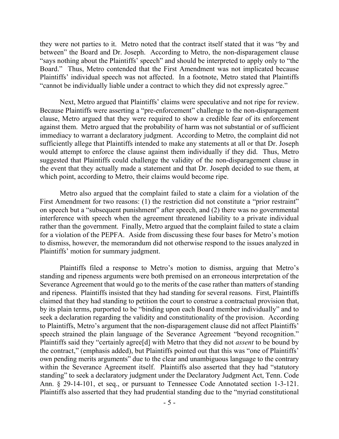they were not parties to it. Metro noted that the contract itself stated that it was "by and between" the Board and Dr. Joseph. According to Metro, the non-disparagement clause "says nothing about the Plaintiffs' speech" and should be interpreted to apply only to "the Board." Thus, Metro contended that the First Amendment was not implicated because Plaintiffs' individual speech was not affected. In a footnote, Metro stated that Plaintiffs "cannot be individually liable under a contract to which they did not expressly agree."

Next, Metro argued that Plaintiffs' claims were speculative and not ripe for review. Because Plaintiffs were asserting a "pre-enforcement" challenge to the non-disparagement clause, Metro argued that they were required to show a credible fear of its enforcement against them. Metro argued that the probability of harm was not substantial or of sufficient immediacy to warrant a declaratory judgment. According to Metro, the complaint did not sufficiently allege that Plaintiffs intended to make any statements at all or that Dr. Joseph would attempt to enforce the clause against them individually if they did. Thus, Metro suggested that Plaintiffs could challenge the validity of the non-disparagement clause in the event that they actually made a statement and that Dr. Joseph decided to sue them, at which point, according to Metro, their claims would become ripe.

Metro also argued that the complaint failed to state a claim for a violation of the First Amendment for two reasons: (1) the restriction did not constitute a "prior restraint" on speech but a "subsequent punishment" after speech, and (2) there was no governmental interference with speech when the agreement threatened liability to a private individual rather than the government. Finally, Metro argued that the complaint failed to state a claim for a violation of the PEPFA. Aside from discussing these four bases for Metro's motion to dismiss, however, the memorandum did not otherwise respond to the issues analyzed in Plaintiffs' motion for summary judgment.

Plaintiffs filed a response to Metro's motion to dismiss, arguing that Metro's standing and ripeness arguments were both premised on an erroneous interpretation of the Severance Agreement that would go to the merits of the case rather than matters of standing and ripeness. Plaintiffs insisted that they had standing for several reasons. First, Plaintiffs claimed that they had standing to petition the court to construe a contractual provision that, by its plain terms, purported to be "binding upon each Board member individually" and to seek a declaration regarding the validity and constitutionality of the provision. According to Plaintiffs, Metro's argument that the non-disparagement clause did not affect Plaintiffs' speech strained the plain language of the Severance Agreement "beyond recognition." Plaintiffs said they "certainly agree[d] with Metro that they did not *assent* to be bound by the contract," (emphasis added), but Plaintiffs pointed out that this was "one of Plaintiffs' own pending merits arguments" due to the clear and unambiguous language to the contrary within the Severance Agreement itself. Plaintiffs also asserted that they had "statutory standing" to seek a declaratory judgment under the Declaratory Judgment Act, Tenn. Code Ann. § 29-14-101, et seq., or pursuant to Tennessee Code Annotated section 1-3-121. Plaintiffs also asserted that they had prudential standing due to the "myriad constitutional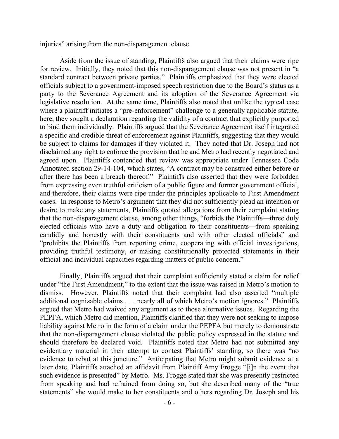injuries" arising from the non-disparagement clause.

Aside from the issue of standing, Plaintiffs also argued that their claims were ripe for review. Initially, they noted that this non-disparagement clause was not present in "a standard contract between private parties." Plaintiffs emphasized that they were elected officials subject to a government-imposed speech restriction due to the Board's status as a party to the Severance Agreement and its adoption of the Severance Agreement via legislative resolution. At the same time, Plaintiffs also noted that unlike the typical case where a plaintiff initiates a "pre-enforcement" challenge to a generally applicable statute, here, they sought a declaration regarding the validity of a contract that explicitly purported to bind them individually. Plaintiffs argued that the Severance Agreement itself integrated a specific and credible threat of enforcement against Plaintiffs, suggesting that they would be subject to claims for damages if they violated it. They noted that Dr. Joseph had not disclaimed any right to enforce the provision that he and Metro had recently negotiated and agreed upon. Plaintiffs contended that review was appropriate under Tennessee Code Annotated section 29-14-104, which states, "A contract may be construed either before or after there has been a breach thereof." Plaintiffs also asserted that they were forbidden from expressing even truthful criticism of a public figure and former government official, and therefore, their claims were ripe under the principles applicable to First Amendment cases. In response to Metro's argument that they did not sufficiently plead an intention or desire to make any statements, Plaintiffs quoted allegations from their complaint stating that the non-disparagement clause, among other things, "forbids the Plaintiffs—three duly elected officials who have a duty and obligation to their constituents—from speaking candidly and honestly with their constituents and with other elected officials" and "prohibits the Plaintiffs from reporting crime, cooperating with official investigations, providing truthful testimony, or making constitutionally protected statements in their official and individual capacities regarding matters of public concern."

Finally, Plaintiffs argued that their complaint sufficiently stated a claim for relief under "the First Amendment," to the extent that the issue was raised in Metro's motion to dismiss. However, Plaintiffs noted that their complaint had also asserted "multiple additional cognizable claims . . . nearly all of which Metro's motion ignores." Plaintiffs argued that Metro had waived any argument as to those alternative issues. Regarding the PEPFA, which Metro did mention, Plaintiffs clarified that they were not seeking to impose liability against Metro in the form of a claim under the PEPFA but merely to demonstrate that the non-disparagement clause violated the public policy expressed in the statute and should therefore be declared void. Plaintiffs noted that Metro had not submitted any evidentiary material in their attempt to contest Plaintiffs' standing, so there was "no evidence to rebut at this juncture." Anticipating that Metro might submit evidence at a later date, Plaintiffs attached an affidavit from Plaintiff Amy Frogge "[i]n the event that such evidence is presented" by Metro. Ms. Frogge stated that she was presently restricted from speaking and had refrained from doing so, but she described many of the "true statements" she would make to her constituents and others regarding Dr. Joseph and his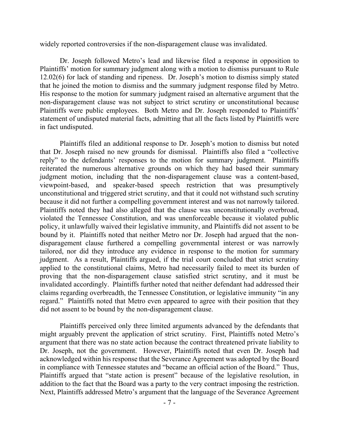widely reported controversies if the non-disparagement clause was invalidated.

Dr. Joseph followed Metro's lead and likewise filed a response in opposition to Plaintiffs' motion for summary judgment along with a motion to dismiss pursuant to Rule 12.02(6) for lack of standing and ripeness. Dr. Joseph's motion to dismiss simply stated that he joined the motion to dismiss and the summary judgment response filed by Metro. His response to the motion for summary judgment raised an alternative argument that the non-disparagement clause was not subject to strict scrutiny or unconstitutional because Plaintiffs were public employees. Both Metro and Dr. Joseph responded to Plaintiffs' statement of undisputed material facts, admitting that all the facts listed by Plaintiffs were in fact undisputed.

Plaintiffs filed an additional response to Dr. Joseph's motion to dismiss but noted that Dr. Joseph raised no new grounds for dismissal. Plaintiffs also filed a "collective reply" to the defendants' responses to the motion for summary judgment. Plaintiffs reiterated the numerous alternative grounds on which they had based their summary judgment motion, including that the non-disparagement clause was a content-based, viewpoint-based, and speaker-based speech restriction that was presumptively unconstitutional and triggered strict scrutiny, and that it could not withstand such scrutiny because it did not further a compelling government interest and was not narrowly tailored. Plaintiffs noted they had also alleged that the clause was unconstitutionally overbroad, violated the Tennessee Constitution, and was unenforceable because it violated public policy, it unlawfully waived their legislative immunity, and Plaintiffs did not assent to be bound by it. Plaintiffs noted that neither Metro nor Dr. Joseph had argued that the nondisparagement clause furthered a compelling governmental interest or was narrowly tailored, nor did they introduce any evidence in response to the motion for summary judgment. As a result, Plaintiffs argued, if the trial court concluded that strict scrutiny applied to the constitutional claims, Metro had necessarily failed to meet its burden of proving that the non-disparagement clause satisfied strict scrutiny, and it must be invalidated accordingly. Plaintiffs further noted that neither defendant had addressed their claims regarding overbreadth, the Tennessee Constitution, or legislative immunity "in any regard." Plaintiffs noted that Metro even appeared to agree with their position that they did not assent to be bound by the non-disparagement clause.

Plaintiffs perceived only three limited arguments advanced by the defendants that might arguably prevent the application of strict scrutiny. First, Plaintiffs noted Metro's argument that there was no state action because the contract threatened private liability to Dr. Joseph, not the government. However, Plaintiffs noted that even Dr. Joseph had acknowledged within his response that the Severance Agreement was adopted by the Board in compliance with Tennessee statutes and "became an official action of the Board." Thus, Plaintiffs argued that "state action is present" because of the legislative resolution, in addition to the fact that the Board was a party to the very contract imposing the restriction. Next, Plaintiffs addressed Metro's argument that the language of the Severance Agreement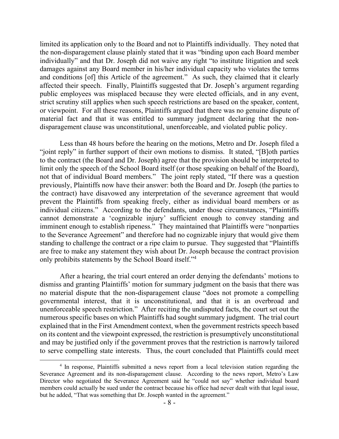limited its application only to the Board and not to Plaintiffs individually. They noted that the non-disparagement clause plainly stated that it was "binding upon each Board member individually" and that Dr. Joseph did not waive any right "to institute litigation and seek damages against any Board member in his/her individual capacity who violates the terms and conditions [of] this Article of the agreement." As such, they claimed that it clearly affected their speech. Finally, Plaintiffs suggested that Dr. Joseph's argument regarding public employees was misplaced because they were elected officials, and in any event, strict scrutiny still applies when such speech restrictions are based on the speaker, content, or viewpoint. For all these reasons, Plaintiffs argued that there was no genuine dispute of material fact and that it was entitled to summary judgment declaring that the nondisparagement clause was unconstitutional, unenforceable, and violated public policy.

Less than 48 hours before the hearing on the motions, Metro and Dr. Joseph filed a "joint reply" in further support of their own motions to dismiss. It stated, "[B]oth parties to the contract (the Board and Dr. Joseph) agree that the provision should be interpreted to limit only the speech of the School Board itself (or those speaking on behalf of the Board), not that of individual Board members." The joint reply stated, "If there was a question previously, Plaintiffs now have their answer: both the Board and Dr. Joseph (the parties to the contract) have disavowed any interpretation of the severance agreement that would prevent the Plaintiffs from speaking freely, either as individual board members or as individual citizens." According to the defendants, under those circumstances, "Plaintiffs cannot demonstrate a 'cognizable injury' sufficient enough to convey standing and imminent enough to establish ripeness." They maintained that Plaintiffs were "nonparties" to the Severance Agreement" and therefore had no cognizable injury that would give them standing to challenge the contract or a ripe claim to pursue. They suggested that "Plaintiffs are free to make any statement they wish about Dr. Joseph because the contract provision only prohibits statements by the School Board itself."<sup>4</sup>

After a hearing, the trial court entered an order denying the defendants' motions to dismiss and granting Plaintiffs' motion for summary judgment on the basis that there was no material dispute that the non-disparagement clause "does not promote a compelling governmental interest, that it is unconstitutional, and that it is an overbroad and unenforceable speech restriction." After reciting the undisputed facts, the court set out the numerous specific bases on which Plaintiffs had sought summary judgment. The trial court explained that in the First Amendment context, when the government restricts speech based on its content and the viewpoint expressed, the restriction is presumptively unconstitutional and may be justified only if the government proves that the restriction is narrowly tailored to serve compelling state interests. Thus, the court concluded that Plaintiffs could meet

 $\overline{a}$ 

<sup>&</sup>lt;sup>4</sup> In response, Plaintiffs submitted a news report from a local television station regarding the Severance Agreement and its non-disparagement clause. According to the news report, Metro's Law Director who negotiated the Severance Agreement said he "could not say" whether individual board members could actually be sued under the contract because his office had never dealt with that legal issue, but he added, "That was something that Dr. Joseph wanted in the agreement."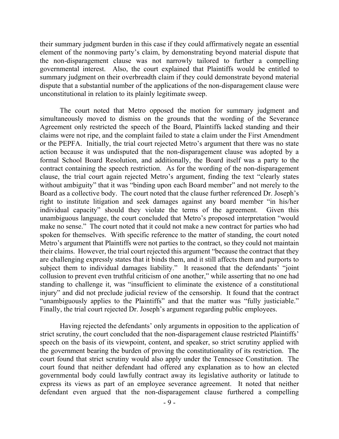their summary judgment burden in this case if they could affirmatively negate an essential element of the nonmoving party's claim, by demonstrating beyond material dispute that the non-disparagement clause was not narrowly tailored to further a compelling governmental interest. Also, the court explained that Plaintiffs would be entitled to summary judgment on their overbreadth claim if they could demonstrate beyond material dispute that a substantial number of the applications of the non-disparagement clause were unconstitutional in relation to its plainly legitimate sweep.

The court noted that Metro opposed the motion for summary judgment and simultaneously moved to dismiss on the grounds that the wording of the Severance Agreement only restricted the speech of the Board, Plaintiffs lacked standing and their claims were not ripe, and the complaint failed to state a claim under the First Amendment or the PEPFA. Initially, the trial court rejected Metro's argument that there was no state action because it was undisputed that the non-disparagement clause was adopted by a formal School Board Resolution, and additionally, the Board itself was a party to the contract containing the speech restriction. As for the wording of the non-disparagement clause, the trial court again rejected Metro's argument, finding the text "clearly states without ambiguity" that it was "binding upon each Board member" and not merely to the Board as a collective body. The court noted that the clause further referenced Dr. Joseph's right to institute litigation and seek damages against any board member "in his/her individual capacity" should they violate the terms of the agreement. Given this unambiguous language, the court concluded that Metro's proposed interpretation "would make no sense." The court noted that it could not make a new contract for parties who had spoken for themselves. With specific reference to the matter of standing, the court noted Metro's argument that Plaintiffs were not parties to the contract, so they could not maintain their claims. However, the trial court rejected this argument "because the contract that they are challenging expressly states that it binds them, and it still affects them and purports to subject them to individual damages liability." It reasoned that the defendants' "joint collusion to prevent even truthful criticism of one another," while asserting that no one had standing to challenge it, was "insufficient to eliminate the existence of a constitutional injury" and did not preclude judicial review of the censorship. It found that the contract "unambiguously applies to the Plaintiffs" and that the matter was "fully justiciable." Finally, the trial court rejected Dr. Joseph's argument regarding public employees.

Having rejected the defendants' only arguments in opposition to the application of strict scrutiny, the court concluded that the non-disparagement clause restricted Plaintiffs' speech on the basis of its viewpoint, content, and speaker, so strict scrutiny applied with the government bearing the burden of proving the constitutionality of its restriction. The court found that strict scrutiny would also apply under the Tennessee Constitution. The court found that neither defendant had offered any explanation as to how an elected governmental body could lawfully contract away its legislative authority or latitude to express its views as part of an employee severance agreement. It noted that neither defendant even argued that the non-disparagement clause furthered a compelling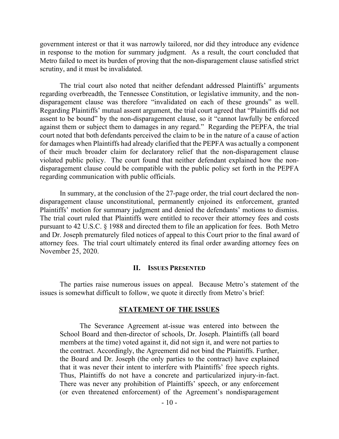government interest or that it was narrowly tailored, nor did they introduce any evidence in response to the motion for summary judgment. As a result, the court concluded that Metro failed to meet its burden of proving that the non-disparagement clause satisfied strict scrutiny, and it must be invalidated.

The trial court also noted that neither defendant addressed Plaintiffs' arguments regarding overbreadth, the Tennessee Constitution, or legislative immunity, and the nondisparagement clause was therefore "invalidated on each of these grounds" as well. Regarding Plaintiffs' mutual assent argument, the trial court agreed that "Plaintiffs did not assent to be bound" by the non-disparagement clause, so it "cannot lawfully be enforced against them or subject them to damages in any regard." Regarding the PEPFA, the trial court noted that both defendants perceived the claim to be in the nature of a cause of action for damages when Plaintiffs had already clarified that the PEPFA was actually a component of their much broader claim for declaratory relief that the non-disparagement clause violated public policy. The court found that neither defendant explained how the nondisparagement clause could be compatible with the public policy set forth in the PEPFA regarding communication with public officials.

In summary, at the conclusion of the 27-page order, the trial court declared the nondisparagement clause unconstitutional, permanently enjoined its enforcement, granted Plaintiffs' motion for summary judgment and denied the defendants' motions to dismiss. The trial court ruled that Plaintiffs were entitled to recover their attorney fees and costs pursuant to 42 U.S.C. § 1988 and directed them to file an application for fees. Both Metro and Dr. Joseph prematurely filed notices of appeal to this Court prior to the final award of attorney fees. The trial court ultimately entered its final order awarding attorney fees on November 25, 2020.

#### **II. ISSUES PRESENTED**

The parties raise numerous issues on appeal. Because Metro's statement of the issues is somewhat difficult to follow, we quote it directly from Metro's brief:

#### **STATEMENT OF THE ISSUES**

The Severance Agreement at-issue was entered into between the School Board and then-director of schools, Dr. Joseph. Plaintiffs (all board members at the time) voted against it, did not sign it, and were not parties to the contract. Accordingly, the Agreement did not bind the Plaintiffs. Further, the Board and Dr. Joseph (the only parties to the contract) have explained that it was never their intent to interfere with Plaintiffs' free speech rights. Thus, Plaintiffs do not have a concrete and particularized injury-in-fact. There was never any prohibition of Plaintiffs' speech, or any enforcement (or even threatened enforcement) of the Agreement's nondisparagement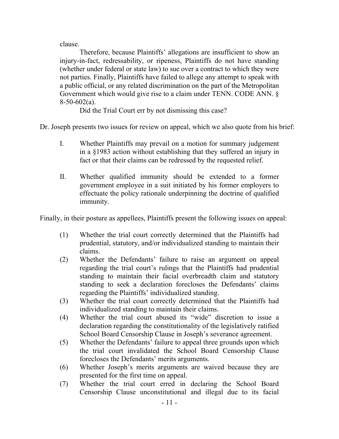clause.

Therefore, because Plaintiffs' allegations are insufficient to show an injury-in-fact, redressability, or ripeness, Plaintiffs do not have standing (whether under federal or state law) to sue over a contract to which they were not parties. Finally, Plaintiffs have failed to allege any attempt to speak with a public official, or any related discrimination on the part of the Metropolitan Government which would give rise to a claim under TENN. CODE ANN. §  $8-50-602(a)$ .

Did the Trial Court err by not dismissing this case?

Dr. Joseph presents two issues for review on appeal, which we also quote from his brief:

- I. Whether Plaintiffs may prevail on a motion for summary judgement in a §1983 action without establishing that they suffered an injury in fact or that their claims can be redressed by the requested relief.
- II. Whether qualified immunity should be extended to a former government employee in a suit initiated by his former employers to effectuate the policy rationale underpinning the doctrine of qualified immunity.

Finally, in their posture as appellees, Plaintiffs present the following issues on appeal:

- (1) Whether the trial court correctly determined that the Plaintiffs had prudential, statutory, and/or individualized standing to maintain their claims.
- (2) Whether the Defendants' failure to raise an argument on appeal regarding the trial court's rulings that the Plaintiffs had prudential standing to maintain their facial overbreadth claim and statutory standing to seek a declaration forecloses the Defendants' claims regarding the Plaintiffs' individualized standing.
- (3) Whether the trial court correctly determined that the Plaintiffs had individualized standing to maintain their claims.
- (4) Whether the trial court abused its "wide" discretion to issue a declaration regarding the constitutionality of the legislatively ratified School Board Censorship Clause in Joseph's severance agreement.
- (5) Whether the Defendants' failure to appeal three grounds upon which the trial court invalidated the School Board Censorship Clause forecloses the Defendants' merits arguments.
- (6) Whether Joseph's merits arguments are waived because they are presented for the first time on appeal.
- (7) Whether the trial court erred in declaring the School Board Censorship Clause unconstitutional and illegal due to its facial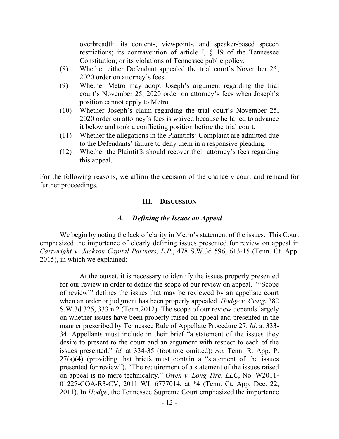overbreadth; its content-, viewpoint-, and speaker-based speech restrictions; its contravention of article I, § 19 of the Tennessee Constitution; or its violations of Tennessee public policy.

- (8) Whether either Defendant appealed the trial court's November 25, 2020 order on attorney's fees.
- (9) Whether Metro may adopt Joseph's argument regarding the trial court's November 25, 2020 order on attorney's fees when Joseph's position cannot apply to Metro.
- (10) Whether Joseph's claim regarding the trial court's November 25, 2020 order on attorney's fees is waived because he failed to advance it below and took a conflicting position before the trial court.
- (11) Whether the allegations in the Plaintiffs' Complaint are admitted due to the Defendants' failure to deny them in a responsive pleading.
- (12) Whether the Plaintiffs should recover their attorney's fees regarding this appeal.

For the following reasons, we affirm the decision of the chancery court and remand for further proceedings.

## **III. DISCUSSION**

## *A. Defining the Issues on Appeal*

We begin by noting the lack of clarity in Metro's statement of the issues. This Court emphasized the importance of clearly defining issues presented for review on appeal in *Cartwright v. Jackson Capital Partners, L.P.*, 478 S.W.3d 596, 613-15 (Tenn. Ct. App. 2015), in which we explained:

At the outset, it is necessary to identify the issues properly presented for our review in order to define the scope of our review on appeal. "'Scope of review'" defines the issues that may be reviewed by an appellate court when an order or judgment has been properly appealed. *Hodge v. Craig*, 382 S.W.3d 325, 333 n.2 (Tenn.2012). The scope of our review depends largely on whether issues have been properly raised on appeal and presented in the manner prescribed by Tennessee Rule of Appellate Procedure 27. *Id*. at 333- 34. Appellants must include in their brief "a statement of the issues they desire to present to the court and an argument with respect to each of the issues presented." *Id*. at 334-35 (footnote omitted); *see* Tenn. R. App. P.  $27(a)(4)$  (providing that briefs must contain a "statement of the issues presented for review"). "The requirement of a statement of the issues raised on appeal is no mere technicality." *Owen v. Long Tire, LLC*, No. W2011- 01227-COA-R3-CV, 2011 WL 6777014, at \*4 (Tenn. Ct. App. Dec. 22, 2011). In *Hodge*, the Tennessee Supreme Court emphasized the importance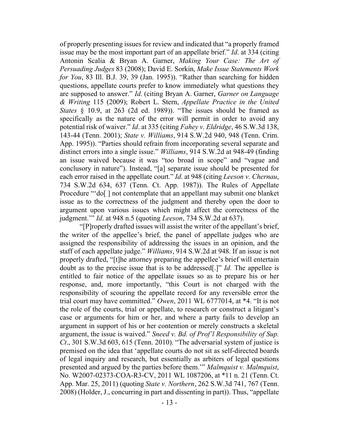of properly presenting issues for review and indicated that "a properly framed issue may be the most important part of an appellate brief." *Id*. at 334 (citing Antonin Scalia & Bryan A. Garner, *Making Your Case: The Art of Persuading Judges* 83 (2008); David E. Sorkin, *Make Issue Statements Work for You*, 83 Ill. B.J. 39, 39 (Jan. 1995)). "Rather than searching for hidden questions, appellate courts prefer to know immediately what questions they are supposed to answer." *Id*. (citing Bryan A. Garner, *Garner on Language & Writing* 115 (2009); Robert L. Stern, *Appellate Practice in the United States* § 10.9, at 263 (2d ed. 1989)). "The issues should be framed as specifically as the nature of the error will permit in order to avoid any potential risk of waiver." *Id*. at 335 (citing *Fahey v. Eldridge*, 46 S.W.3d 138, 143-44 (Tenn. 2001); *State v. Williams*, 914 S.W.2d 940, 948 (Tenn. Crim. App. 1995)). "Parties should refrain from incorporating several separate and distinct errors into a single issue." *Williams*, 914 S.W.2d at 948-49 (finding an issue waived because it was "too broad in scope" and "vague and conclusory in nature"). Instead, "[a] separate issue should be presented for each error raised in the appellate court." *Id*. at 948 (citing *Leeson v. Chernau*, 734 S.W.2d 634, 637 (Tenn. Ct. App. 1987)). The Rules of Appellate Procedure "'do[] not contemplate that an appellant may submit one blanket issue as to the correctness of the judgment and thereby open the door to argument upon various issues which might affect the correctness of the judgment.'" *Id*. at 948 n.5 (quoting *Leeson*, 734 S.W.2d at 637).

"[P]roperly drafted issues will assist the writer of the appellant's brief, the writer of the appellee's brief, the panel of appellate judges who are assigned the responsibility of addressing the issues in an opinion, and the staff of each appellate judge." *Williams*, 914 S.W.2d at 948. If an issue is not properly drafted, "[t]he attorney preparing the appellee's brief will entertain doubt as to the precise issue that is to be addressed[.]" *Id.* The appellee is entitled to fair notice of the appellate issues so as to prepare his or her response, and, more importantly, "this Court is not charged with the responsibility of scouring the appellate record for any reversible error the trial court may have committed." *Owen*, 2011 WL 6777014, at \*4. "It is not the role of the courts, trial or appellate, to research or construct a litigant's case or arguments for him or her, and where a party fails to develop an argument in support of his or her contention or merely constructs a skeletal argument, the issue is waived." *Sneed v. Bd. of Prof'l Responsibility of Sup. Ct*., 301 S.W.3d 603, 615 (Tenn. 2010). "The adversarial system of justice is premised on the idea that 'appellate courts do not sit as self-directed boards of legal inquiry and research, but essentially as arbiters of legal questions presented and argued by the parties before them.'" *Malmquist v. Malmquist*, No. W2007-02373-COA-R3-CV, 2011 WL 1087206, at \*11 n. 21 (Tenn. Ct. App. Mar. 25, 2011) (quoting *State v. Northern*, 262 S.W.3d 741, 767 (Tenn. 2008) (Holder, J., concurring in part and dissenting in part)). Thus, "appellate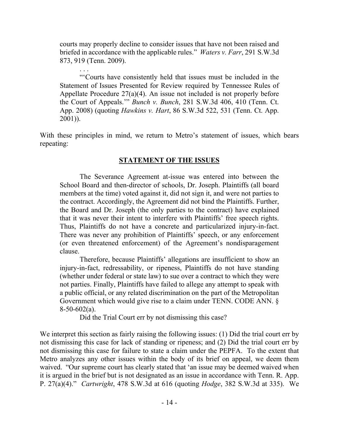courts may properly decline to consider issues that have not been raised and briefed in accordance with the applicable rules." *Waters v. Farr*, 291 S.W.3d 873, 919 (Tenn. 2009).

. . .

"'Courts have consistently held that issues must be included in the Statement of Issues Presented for Review required by Tennessee Rules of Appellate Procedure  $27(a)(4)$ . An issue not included is not properly before the Court of Appeals.'" *Bunch v. Bunch*, 281 S.W.3d 406, 410 (Tenn. Ct. App. 2008) (quoting *Hawkins v. Hart*, 86 S.W.3d 522, 531 (Tenn. Ct. App. 2001)).

With these principles in mind, we return to Metro's statement of issues, which bears repeating:

# **STATEMENT OF THE ISSUES**

The Severance Agreement at-issue was entered into between the School Board and then-director of schools, Dr. Joseph. Plaintiffs (all board members at the time) voted against it, did not sign it, and were not parties to the contract. Accordingly, the Agreement did not bind the Plaintiffs. Further, the Board and Dr. Joseph (the only parties to the contract) have explained that it was never their intent to interfere with Plaintiffs' free speech rights. Thus, Plaintiffs do not have a concrete and particularized injury-in-fact. There was never any prohibition of Plaintiffs' speech, or any enforcement (or even threatened enforcement) of the Agreement's nondisparagement clause.

Therefore, because Plaintiffs' allegations are insufficient to show an injury-in-fact, redressability, or ripeness, Plaintiffs do not have standing (whether under federal or state law) to sue over a contract to which they were not parties. Finally, Plaintiffs have failed to allege any attempt to speak with a public official, or any related discrimination on the part of the Metropolitan Government which would give rise to a claim under TENN. CODE ANN. §  $8-50-602(a)$ .

Did the Trial Court err by not dismissing this case?

We interpret this section as fairly raising the following issues: (1) Did the trial court err by not dismissing this case for lack of standing or ripeness; and (2) Did the trial court err by not dismissing this case for failure to state a claim under the PEPFA. To the extent that Metro analyzes any other issues within the body of its brief on appeal, we deem them waived. "Our supreme court has clearly stated that 'an issue may be deemed waived when it is argued in the brief but is not designated as an issue in accordance with Tenn. R. App. P. 27(a)(4)." *Cartwright*, 478 S.W.3d at 616 (quoting *Hodge*, 382 S.W.3d at 335). We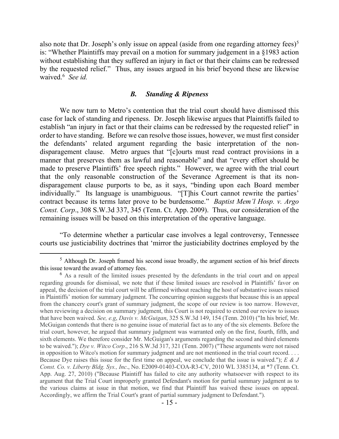also note that Dr. Joseph's only issue on appeal (aside from one regarding attorney fees)<sup>5</sup> is: "Whether Plaintiffs may prevail on a motion for summary judgement in a §1983 action without establishing that they suffered an injury in fact or that their claims can be redressed by the requested relief." Thus, any issues argued in his brief beyond these are likewise waived.<sup>6</sup> *See id.*

### *B. Standing & Ripeness*

We now turn to Metro's contention that the trial court should have dismissed this case for lack of standing and ripeness. Dr. Joseph likewise argues that Plaintiffs failed to establish "an injury in fact or that their claims can be redressed by the requested relief" in order to have standing. Before we can resolve those issues, however, we must first consider the defendants' related argument regarding the basic interpretation of the nondisparagement clause. Metro argues that "[c]ourts must read contract provisions in a manner that preserves them as lawful and reasonable" and that "every effort should be made to preserve Plaintiffs' free speech rights." However, we agree with the trial court that the only reasonable construction of the Severance Agreement is that its nondisparagement clause purports to be, as it says, "binding upon each Board member individually." Its language is unambiguous. "[T]his Court cannot rewrite the parties' contract because its terms later prove to be burdensome." *Baptist Mem'l Hosp. v. Argo Const. Corp*., 308 S.W.3d 337, 345 (Tenn. Ct. App. 2009). Thus, our consideration of the remaining issues will be based on this interpretation of the operative language.

"To determine whether a particular case involves a legal controversy, Tennessee courts use justiciability doctrines that 'mirror the justiciability doctrines employed by the

 $\overline{a}$ 

<sup>&</sup>lt;sup>5</sup> Although Dr. Joseph framed his second issue broadly, the argument section of his brief directs this issue toward the award of attorney fees.

<sup>6</sup> As a result of the limited issues presented by the defendants in the trial court and on appeal regarding grounds for dismissal, we note that if these limited issues are resolved in Plaintiffs' favor on appeal, the decision of the trial court will be affirmed without reaching the host of substantive issues raised in Plaintiffs' motion for summary judgment. The concurring opinion suggests that because this is an appeal from the chancery court's grant of summary judgment, the scope of our review is too narrow. However, when reviewing a decision on summary judgment, this Court is not required to extend our review to issues that have been waived. *See, e.g*, *Davis v. McGuigan*, 325 S.W.3d 149, 154 (Tenn. 2010) ("In his brief, Mr. McGuigan contends that there is no genuine issue of material fact as to any of the six elements. Before the trial court, however, he argued that summary judgment was warranted only on the first, fourth, fifth, and sixth elements. We therefore consider Mr. McGuigan's arguments regarding the second and third elements to be waived."); *Dye v. Witco Corp*., 216 S.W.3d 317, 321 (Tenn. 2007) ("These arguments were not raised in opposition to Witco's motion for summary judgment and are not mentioned in the trial court record. . . . Because Dye raises this issue for the first time on appeal, we conclude that the issue is waived."); *E & J Const. Co. v. Liberty Bldg. Sys., Inc*., No. E2009-01403-COA-R3-CV, 2010 WL 3385134, at \*7 (Tenn. Ct. App. Aug. 27, 2010) ("Because Plaintiff has failed to cite any authority whatsoever with respect to its argument that the Trial Court improperly granted Defendant's motion for partial summary judgment as to the various claims at issue in that motion, we find that Plaintiff has waived these issues on appeal. Accordingly, we affirm the Trial Court's grant of partial summary judgment to Defendant.").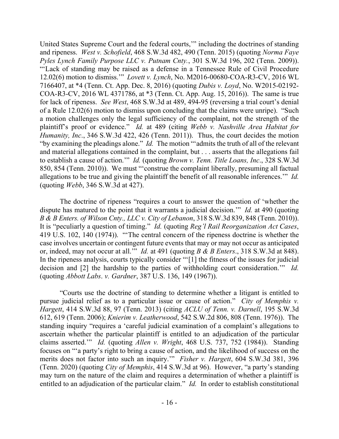United States Supreme Court and the federal courts,'" including the doctrines of standing and ripeness. *West v. Schofield*, 468 S.W.3d 482, 490 (Tenn. 2015) (quoting *Norma Faye Pyles Lynch Family Purpose LLC v. Putnam Cnty.*, 301 S.W.3d 196, 202 (Tenn. 2009)). "'Lack of standing may be raised as a defense in a Tennessee Rule of Civil Procedure 12.02(6) motion to dismiss.'" *Lovett v. Lynch*, No. M2016-00680-COA-R3-CV, 2016 WL 7166407, at \*4 (Tenn. Ct. App. Dec. 8, 2016) (quoting *Dubis v. Loyd*, No. W2015-02192- COA-R3-CV, 2016 WL 4371786, at \*3 (Tenn. Ct. App. Aug. 15, 2016)). The same is true for lack of ripeness. *See West*, 468 S.W.3d at 489, 494-95 (reversing a trial court's denial of a Rule 12.02(6) motion to dismiss upon concluding that the claims were unripe). "Such a motion challenges only the legal sufficiency of the complaint, not the strength of the plaintiff's proof or evidence." *Id.* at 489 (citing *Webb v. Nashville Area Habitat for Humanity, Inc*., 346 S.W.3d 422, 426 (Tenn. 2011)). Thus, the court decides the motion "by examining the pleadings alone." *Id.* The motion "'admits the truth of all of the relevant and material allegations contained in the complaint, but . . . asserts that the allegations fail to establish a cause of action.'" *Id.* (quoting *Brown v. Tenn. Title Loans, Inc*., 328 S.W.3d 850, 854 (Tenn. 2010)). We must "'construe the complaint liberally, presuming all factual allegations to be true and giving the plaintiff the benefit of all reasonable inferences.'" *Id.* (quoting *Webb*, 346 S.W.3d at 427).

The doctrine of ripeness "requires a court to answer the question of 'whether the dispute has matured to the point that it warrants a judicial decision.'" *Id.* at 490 (quoting *B & B Enters. of Wilson Cnty., LLC v. City of Lebanon*, 318 S.W.3d 839, 848 (Tenn. 2010)). It is "peculiarly a question of timing." *Id.* (quoting *Reg'l Rail Reorganization Act Cases*, 419 U.S. 102, 140 (1974)). "'The central concern of the ripeness doctrine is whether the case involves uncertain or contingent future events that may or may not occur as anticipated or, indeed, may not occur at all.'" *Id.* at 491 (quoting *B & B Enters*., 318 S.W.3d at 848). In the ripeness analysis, courts typically consider "'[1] the fitness of the issues for judicial decision and [2] the hardship to the parties of withholding court consideration.'" *Id.*  (quoting *Abbott Labs*. *v. Gardner*, 387 U.S. 136, 149 (1967)).

"Courts use the doctrine of standing to determine whether a litigant is entitled to pursue judicial relief as to a particular issue or cause of action." *City of Memphis v. Hargett*, 414 S.W.3d 88, 97 (Tenn. 2013) (citing *ACLU of Tenn. v. Darnell*, 195 S.W.3d 612, 619 (Tenn. 2006); *Knierim v. Leatherwood*, 542 S.W.2d 806, 808 (Tenn. 1976)). The standing inquiry "requires a 'careful judicial examination of a complaint's allegations to ascertain whether the particular plaintiff is entitled to an adjudication of the particular claims asserted.'" *Id.* (quoting *Allen v. Wright*, 468 U.S. 737, 752 (1984)). Standing focuses on "'a party's right to bring a cause of action, and the likelihood of success on the merits does not factor into such an inquiry.'" *Fisher v. Hargett*, 604 S.W.3d 381, 396 (Tenn. 2020) (quoting *City of Memphis*, 414 S.W.3d at 96). However, "a party's standing may turn on the nature of the claim and requires a determination of whether a plaintiff is entitled to an adjudication of the particular claim." *Id.* In order to establish constitutional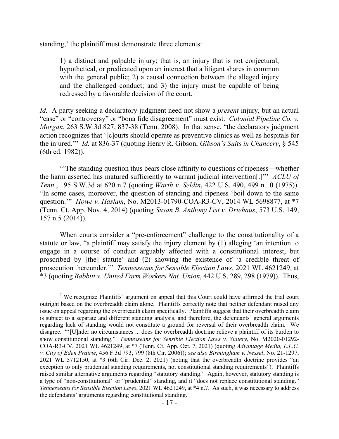standing, $\frac{7}{1}$  the plaintiff must demonstrate three elements:

 $\overline{a}$ 

1) a distinct and palpable injury; that is, an injury that is not conjectural, hypothetical, or predicated upon an interest that a litigant shares in common with the general public; 2) a causal connection between the alleged injury and the challenged conduct; and 3) the injury must be capable of being redressed by a favorable decision of the court.

*Id.* A party seeking a declaratory judgment need not show a *present* injury, but an actual "case" or "controversy" or "bona fide disagreement" must exist. *Colonial Pipeline Co. v. Morgan*, 263 S.W.3d 827, 837-38 (Tenn. 2008). In that sense, "the declaratory judgment action recognizes that '[c]ourts should operate as preventive clinics as well as hospitals for the injured.'" *Id.* at 836-37 (quoting Henry R. Gibson, *Gibson's Suits in Chancery*, § 545 (6th ed. 1982)).

"'The standing question thus bears close affinity to questions of ripeness—whether the harm asserted has matured sufficiently to warrant judicial intervention[.]'" *ACLU of Tenn.*, 195 S.W.3d at 620 n.7 (quoting *Warth v. Seldin*, 422 U.S. 490, 499 n.10 (1975)). "In some cases, moreover, the question of standing and ripeness 'boil down to the same question.'" *Howe v. Haslam*, No. M2013-01790-COA-R3-CV, 2014 WL 5698877, at \*7 (Tenn. Ct. App. Nov. 4, 2014) (quoting *Susan B. Anthony List v. Driehaus*, 573 U.S. 149, 157 n.5 (2014)).

When courts consider a "pre-enforcement" challenge to the constitutionality of a statute or law, "a plaintiff may satisfy the injury element by (1) alleging 'an intention to engage in a course of conduct arguably affected with a constitutional interest, but proscribed by [the] statute' and (2) showing the existence of 'a credible threat of prosecution thereunder.'" *Tennesseans for Sensible Election Laws*, 2021 WL 4621249, at \*3 (quoting *Babbitt v. United Farm Workers Nat. Union*, 442 U.S. 289, 298 (1979)). Thus,

<sup>7</sup> We recognize Plaintiffs' argument on appeal that this Court could have affirmed the trial court outright based on the overbreadth claim alone. Plaintiffs correctly note that neither defendant raised any issue on appeal regarding the overbreadth claim specifically. Plaintiffs suggest that their overbreadth claim is subject to a separate and different standing analysis, and therefore, the defendants' general arguments regarding lack of standing would not constitute a ground for reversal of their overbreadth claim. We disagree. "'[U]nder no circumstances ... does the overbreadth doctrine relieve a plaintiff of its burden to show constitutional standing." *Tennesseans for Sensible Election Laws v. Slatery*, No. M2020-01292- COA-R3-CV, 2021 WL 4621249, at \*7 (Tenn. Ct. App. Oct. 7, 2021) (quoting *Advantage Media, L.L.C. v. City of Eden Prairie*, 456 F.3d 793, 799 (8th Cir. 2006)); *see also Birmingham v. Nessel*, No. 21-1297, 2021 WL 5712150, at \*3 (6th Cir. Dec. 2, 2021) (noting that the overbreadth doctrine provides "an exception to only prudential standing requirements, not constitutional standing requirements"). Plaintiffs raised similar alternative arguments regarding "statutory standing." Again, however, statutory standing is a type of "non-constitutional" or "prudential" standing, and it "does not replace constitutional standing." *Tennesseans for Sensible Election Laws*, 2021 WL 4621249, at \*4 n.7. As such, it was necessary to address the defendants' arguments regarding constitutional standing.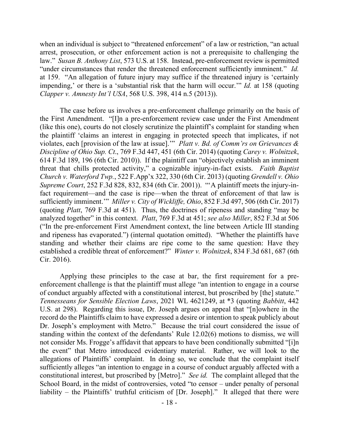when an individual is subject to "threatened enforcement" of a law or restriction, "an actual arrest, prosecution, or other enforcement action is not a prerequisite to challenging the law." *Susan B. Anthony List*, 573 U.S. at 158. Instead, pre-enforcement review is permitted "under circumstances that render the threatened enforcement sufficiently imminent." *Id.* at 159. "An allegation of future injury may suffice if the threatened injury is 'certainly impending,' or there is a 'substantial risk that the harm will occur.'" *Id.* at 158 (quoting *Clapper v. Amnesty Int'l USA*, 568 U.S. 398, 414 n.5 (2013)).

The case before us involves a pre-enforcement challenge primarily on the basis of the First Amendment. "[I]n a pre-enforcement review case under the First Amendment (like this one), courts do not closely scrutinize the plaintiff's complaint for standing when the plaintiff 'claims an interest in engaging in protected speech that implicates, if not violates, each [provision of the law at issue].'" *Platt v. Bd. of Comm'rs on Grievances & Discipline of Ohio Sup. Ct*., 769 F.3d 447, 451 (6th Cir. 2014) (quoting *Carey v. Wolnitzek*, 614 F.3d 189, 196 (6th Cir. 2010)). If the plaintiff can "objectively establish an imminent threat that chills protected activity," a cognizable injury-in-fact exists. *Faith Baptist Church v. Waterford Twp.*, 522 F.App'x 322, 330 (6th Cir. 2013) (quoting *Grendell v. Ohio Supreme Court*, 252 F.3d 828, 832, 834 (6th Cir. 2001)). "'A plaintiff meets the injury-infact requirement—and the case is ripe—when the threat of enforcement of that law is sufficiently imminent.'" *Miller v. City of Wickliffe, Ohio*, 852 F.3d 497, 506 (6th Cir. 2017) (quoting *Platt*, 769 F.3d at 451). Thus, the doctrines of ripeness and standing "may be analyzed together" in this context. *Platt*, 769 F.3d at 451; *see also Miller*, 852 F.3d at 506 ("In the pre-enforcement First Amendment context, the line between Article III standing and ripeness has evaporated.") (internal quotation omitted). "Whether the plaintiffs have standing and whether their claims are ripe come to the same question: Have they established a credible threat of enforcement?" *Winter v. Wolnitzek*, 834 F.3d 681, 687 (6th Cir. 2016).

Applying these principles to the case at bar, the first requirement for a preenforcement challenge is that the plaintiff must allege "an intention to engage in a course of conduct arguably affected with a constitutional interest, but proscribed by [the] statute." *Tennesseans for Sensible Election Laws*, 2021 WL 4621249, at \*3 (quoting *Babbitt*, 442 U.S. at 298). Regarding this issue, Dr. Joseph argues on appeal that "[n]owhere in the record do the Plaintiffs claim to have expressed a desire or intention to speak publicly about Dr. Joseph's employment with Metro." Because the trial court considered the issue of standing within the context of the defendants' Rule 12.02(6) motions to dismiss, we will not consider Ms. Frogge's affidavit that appears to have been conditionally submitted "[i]n the event" that Metro introduced evidentiary material. Rather, we will look to the allegations of Plaintiffs' complaint. In doing so, we conclude that the complaint itself sufficiently alleges "an intention to engage in a course of conduct arguably affected with a constitutional interest, but proscribed by [Metro]." *See id.* The complaint alleged that the School Board, in the midst of controversies, voted "to censor – under penalty of personal liability – the Plaintiffs' truthful criticism of [Dr. Joseph]." It alleged that there were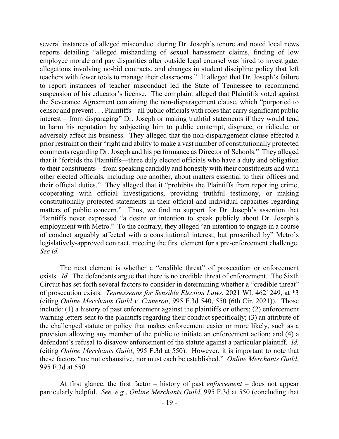several instances of alleged misconduct during Dr. Joseph's tenure and noted local news reports detailing "alleged mishandling of sexual harassment claims, finding of low employee morale and pay disparities after outside legal counsel was hired to investigate, allegations involving no-bid contracts, and changes in student discipline policy that left teachers with fewer tools to manage their classrooms." It alleged that Dr. Joseph's failure to report instances of teacher misconduct led the State of Tennessee to recommend suspension of his educator's license. The complaint alleged that Plaintiffs voted against the Severance Agreement containing the non-disparagement clause, which "purported to censor and prevent . . . Plaintiffs – all public officials with roles that carry significant public interest – from disparaging" Dr. Joseph or making truthful statements if they would tend to harm his reputation by subjecting him to public contempt, disgrace, or ridicule, or adversely affect his business. They alleged that the non-disparagement clause effected a prior restraint on their "right and ability to make a vast number of constitutionally protected comments regarding Dr. Joseph and his performance as Director of Schools." They alleged that it "forbids the Plaintiffs—three duly elected officials who have a duty and obligation to their constituents—from speaking candidly and honestly with their constituents and with other elected officials, including one another, about matters essential to their offices and their official duties." They alleged that it "prohibits the Plaintiffs from reporting crime, cooperating with official investigations, providing truthful testimony, or making constitutionally protected statements in their official and individual capacities regarding matters of public concern." Thus, we find no support for Dr. Joseph's assertion that Plaintiffs never expressed "a desire or intention to speak publicly about Dr. Joseph's employment with Metro." To the contrary, they alleged "an intention to engage in a course of conduct arguably affected with a constitutional interest, but proscribed by" Metro's legislatively-approved contract, meeting the first element for a pre-enforcement challenge. *See id.*

The next element is whether a "credible threat" of prosecution or enforcement exists. *Id.* The defendants argue that there is no credible threat of enforcement. The Sixth Circuit has set forth several factors to consider in determining whether a "credible threat" of prosecution exists. *Tennesseans for Sensible Election Laws*, 2021 WL 4621249, at \*3 (citing *Online Merchants Guild v. Cameron*, 995 F.3d 540, 550 (6th Cir. 2021)). Those include: (1) a history of past enforcement against the plaintiffs or others; (2) enforcement warning letters sent to the plaintiffs regarding their conduct specifically; (3) an attribute of the challenged statute or policy that makes enforcement easier or more likely, such as a provision allowing any member of the public to initiate an enforcement action; and (4) a defendant's refusal to disavow enforcement of the statute against a particular plaintiff. *Id.*  (citing *Online Merchants Guild*, 995 F.3d at 550). However, it is important to note that these factors "are not exhaustive, nor must each be established." *Online Merchants Guild*, 995 F.3d at 550.

At first glance, the first factor – history of past *enforcement* – does not appear particularly helpful. *See, e.g.*, *Online Merchants Guild*, 995 F.3d at 550 (concluding that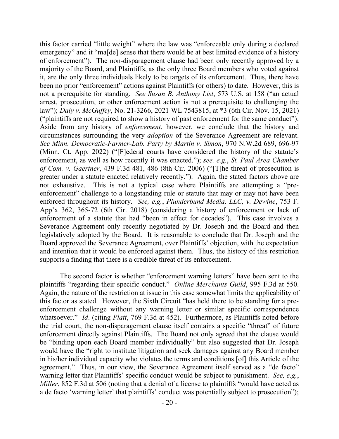this factor carried "little weight" where the law was "enforceable only during a declared emergency" and it "ma[de] sense that there would be at best limited evidence of a history of enforcement"). The non-disparagement clause had been only recently approved by a majority of the Board, and Plaintiffs, as the only three Board members who voted against it, are the only three individuals likely to be targets of its enforcement. Thus, there have been no prior "enforcement" actions against Plaintiffs (or others) to date. However, this is not a prerequisite for standing. *See Susan B. Anthony List*, 573 U.S. at 158 ("an actual arrest, prosecution, or other enforcement action is not a prerequisite to challenging the law"); *Daly v. McGuffey*, No. 21-3266, 2021 WL 7543815, at \*3 (6th Cir. Nov. 15, 2021) ("plaintiffs are not required to show a history of past enforcement for the same conduct"). Aside from any history of *enforcement*, however, we conclude that the history and circumstances surrounding the very *adoption* of the Severance Agreement are relevant. *See Minn. Democratic-Farmer-Lab. Party by Martin v. Simon*, 970 N.W.2d 689, 696-97 (Minn. Ct. App. 2022) ("[F]ederal courts have considered the history of the statute's enforcement, as well as how recently it was enacted."); *see, e.g.*, *St. Paul Area Chamber of Com. v. Gaertner*, 439 F.3d 481, 486 (8th Cir. 2006) ("[T]he threat of prosecution is greater under a statute enacted relatively recently."). Again, the stated factors above are not exhaustive. This is not a typical case where Plaintiffs are attempting a "preenforcement" challenge to a longstanding rule or statute that may or may not have been enforced throughout its history. *See, e.g.*, *Plunderbund Media, LLC, v. Dewine*, 753 F. App'x 362, 365-72 (6th Cir. 2018) (considering a history of enforcement or lack of enforcement of a statute that had "been in effect for decades"). This case involves a Severance Agreement only recently negotiated by Dr. Joseph and the Board and then legislatively adopted by the Board. It is reasonable to conclude that Dr. Joseph and the Board approved the Severance Agreement, over Plaintiffs' objection, with the expectation and intention that it would be enforced against them. Thus, the history of this restriction supports a finding that there is a credible threat of its enforcement.

The second factor is whether "enforcement warning letters" have been sent to the plaintiffs "regarding their specific conduct." *Online Merchants Guild*, 995 F.3d at 550. Again, the nature of the restriction at issue in this case somewhat limits the applicability of this factor as stated. However, the Sixth Circuit "has held there to be standing for a preenforcement challenge without any warning letter or similar specific correspondence whatsoever." *Id*. (citing *Platt*, 769 F.3d at 452). Furthermore, as Plaintiffs noted before the trial court, the non-disparagement clause itself contains a specific "threat" of future enforcement directly against Plaintiffs. The Board not only agreed that the clause would be "binding upon each Board member individually" but also suggested that Dr. Joseph would have the "right to institute litigation and seek damages against any Board member in his/her individual capacity who violates the terms and conditions [of] this Article of the agreement." Thus, in our view, the Severance Agreement itself served as a "de facto" warning letter that Plaintiffs' specific conduct would be subject to punishment. *See, e.g.*, *Miller*, 852 F.3d at 506 (noting that a denial of a license to plaintiffs "would have acted as a de facto 'warning letter' that plaintiffs' conduct was potentially subject to prosecution");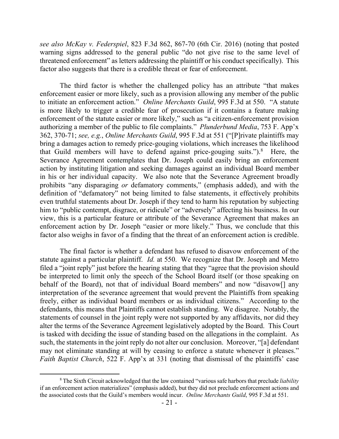*see also McKay v. Federspiel*, 823 F.3d 862, 867-70 (6th Cir. 2016) (noting that posted warning signs addressed to the general public "do not give rise to the same level of threatened enforcement" as letters addressing the plaintiff or his conduct specifically). This factor also suggests that there is a credible threat or fear of enforcement.

The third factor is whether the challenged policy has an attribute "that makes enforcement easier or more likely, such as a provision allowing any member of the public to initiate an enforcement action." *Online Merchants Guild*, 995 F.3d at 550. "A statute is more likely to trigger a credible fear of prosecution if it contains a feature making enforcement of the statute easier or more likely," such as "a citizen-enforcement provision authorizing a member of the public to file complaints." *Plunderbund Media*, 753 F. App'x 362, 370-71; *see, e.g.*, *Online Merchants Guild*, 995 F.3d at 551 ("[P]rivate plaintiffs may bring a damages action to remedy price-gouging violations, which increases the likelihood that Guild members will have to defend against price-gouging suits."). $8$  Here, the Severance Agreement contemplates that Dr. Joseph could easily bring an enforcement action by instituting litigation and seeking damages against an individual Board member in his or her individual capacity. We also note that the Severance Agreement broadly prohibits "any disparaging *or* defamatory comments," (emphasis added), and with the definition of "defamatory" not being limited to false statements, it effectively prohibits even truthful statements about Dr. Joseph if they tend to harm his reputation by subjecting him to "public contempt, disgrace, or ridicule" or "adversely" affecting his business. In our view, this is a particular feature or attribute of the Severance Agreement that makes an enforcement action by Dr. Joseph "easier or more likely." Thus, we conclude that this factor also weighs in favor of a finding that the threat of an enforcement action is credible.

The final factor is whether a defendant has refused to disavow enforcement of the statute against a particular plaintiff. *Id.* at 550. We recognize that Dr. Joseph and Metro filed a "joint reply" just before the hearing stating that they "agree that the provision should be interpreted to limit only the speech of the School Board itself (or those speaking on behalf of the Board), not that of individual Board members" and now "disavow[] any interpretation of the severance agreement that would prevent the Plaintiffs from speaking freely, either as individual board members or as individual citizens." According to the defendants, this means that Plaintiffs cannot establish standing. We disagree. Notably, the statements of counsel in the joint reply were not supported by any affidavits, nor did they alter the terms of the Severance Agreement legislatively adopted by the Board. This Court is tasked with deciding the issue of standing based on the allegations in the complaint. As such, the statements in the joint reply do not alter our conclusion. Moreover, "[a] defendant may not eliminate standing at will by ceasing to enforce a statute whenever it pleases." *Faith Baptist Church*, 522 F. App'x at 331 (noting that dismissal of the plaintiffs' case

<sup>8</sup> The Sixth Circuit acknowledged that the law contained "various safe harbors that preclude *liability*  if an enforcement action materializes" (emphasis added), but they did not preclude enforcement actions and the associated costs that the Guild's members would incur. *Online Merchants Guild*, 995 F.3d at 551.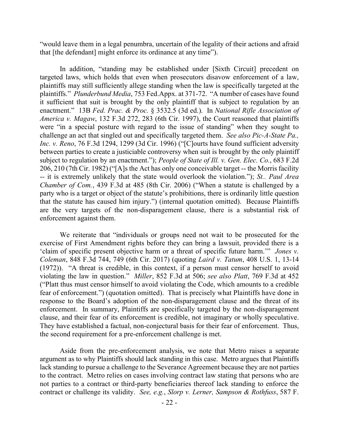"would leave them in a legal penumbra, uncertain of the legality of their actions and afraid that [the defendant] might enforce its ordinance at any time").

In addition, "standing may be established under [Sixth Circuit] precedent on targeted laws, which holds that even when prosecutors disavow enforcement of a law, plaintiffs may still sufficiently allege standing when the law is specifically targeted at the plaintiffs." *Plunderbund Media*, 753 Fed.Appx. at 371-72. "A number of cases have found it sufficient that suit is brought by the only plaintiff that is subject to regulation by an enactment." 13B *Fed. Prac. & Proc.* § 3532.5 (3d ed.). In *National Rifle Association of America v. Magaw*, 132 F.3d 272, 283 (6th Cir. 1997), the Court reasoned that plaintiffs were "in a special posture with regard to the issue of standing" when they sought to challenge an act that singled out and specifically targeted them. *See also Pic-A-State Pa., Inc. v. Reno*, 76 F.3d 1294, 1299 (3d Cir. 1996) ("[C]ourts have found sufficient adversity between parties to create a justiciable controversy when suit is brought by the only plaintiff subject to regulation by an enactment."); *People of State of Ill. v. Gen. Elec. Co.*, 683 F.2d 206, 210 (7th Cir. 1982) ("[A]s the Act has only one conceivable target -- the Morris facility -- it is extremely unlikely that the state would overlook the violation."); *St.. Paul Area Chamber of Com.*, 439 F.3d at 485 (8th Cir. 2006) ("When a statute is challenged by a party who is a target or object of the statute's prohibitions, there is ordinarily little question that the statute has caused him injury.") (internal quotation omitted). Because Plaintiffs are the very targets of the non-disparagement clause, there is a substantial risk of enforcement against them.

We reiterate that "individuals or groups need not wait to be prosecuted for the exercise of First Amendment rights before they can bring a lawsuit, provided there is a 'claim of specific present objective harm or a threat of specific future harm.'" *Jones v. Coleman*, 848 F.3d 744, 749 (6th Cir. 2017) (quoting *Laird v. Tatum*, 408 U.S. 1, 13-14 (1972)). "A threat is credible, in this context, if a person must censor herself to avoid violating the law in question." *Miller*, 852 F.3d at 506; *see also Platt*, 769 F.3d at 452 ("Platt thus must censor himself to avoid violating the Code, which amounts to a credible fear of enforcement.") (quotation omitted). That is precisely what Plaintiffs have done in response to the Board's adoption of the non-disparagement clause and the threat of its enforcement. In summary, Plaintiffs are specifically targeted by the non-disparagement clause, and their fear of its enforcement is credible, not imaginary or wholly speculative. They have established a factual, non-conjectural basis for their fear of enforcement. Thus, the second requirement for a pre-enforcement challenge is met.

Aside from the pre-enforcement analysis, we note that Metro raises a separate argument as to why Plaintiffs should lack standing in this case. Metro argues that Plaintiffs lack standing to pursue a challenge to the Severance Agreement because they are not parties to the contract. Metro relies on cases involving contract law stating that persons who are not parties to a contract or third-party beneficiaries thereof lack standing to enforce the contract or challenge its validity. *See, e.g.*, *Slorp v. Lerner, Sampson & Rothfuss*, 587 F.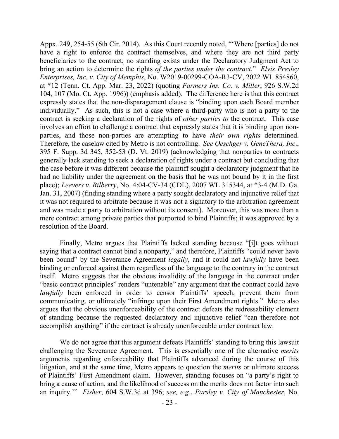Appx. 249, 254-55 (6th Cir. 2014). As this Court recently noted, "'Where [parties] do not have a right to enforce the contract themselves, and where they are not third party beneficiaries to the contract, no standing exists under the Declaratory Judgment Act to bring an action to determine the rights *of the parties under the contract*." *Elvis Presley Enterprises, Inc. v. City of Memphis*, No. W2019-00299-COA-R3-CV, 2022 WL 854860, at \*12 (Tenn. Ct. App. Mar. 23, 2022) (quoting *Farmers Ins. Co. v. Miller*, 926 S.W.2d 104, 107 (Mo. Ct. App. 1996)) (emphasis added). The difference here is that this contract expressly states that the non-disparagement clause is "binding upon each Board member individually." As such, this is not a case where a third-party who is not a party to the contract is seeking a declaration of the rights of *other parties to* the contract. This case involves an effort to challenge a contract that expressly states that it is binding upon nonparties, and those non-parties are attempting to have *their own rights* determined. Therefore, the caselaw cited by Metro is not controlling. *See Oeschger v. GeneThera, Inc*., 395 F. Supp. 3d 345, 352-53 (D. Vt. 2019) (acknowledging that nonparties to contracts generally lack standing to seek a declaration of rights under a contract but concluding that the case before it was different because the plaintiff sought a declaratory judgment that he had no liability under the agreement on the basis that he was not bound by it in the first place); *Leevers v. Bilberry*, No. 4:04-CV-34 (CDL), 2007 WL 315344, at \*3-4 (M.D. Ga. Jan. 31, 2007) (finding standing where a party sought declaratory and injunctive relief that it was not required to arbitrate because it was not a signatory to the arbitration agreement and was made a party to arbitration without its consent). Moreover, this was more than a mere contract among private parties that purported to bind Plaintiffs; it was approved by a resolution of the Board.

Finally, Metro argues that Plaintiffs lacked standing because "[i]t goes without saying that a contract cannot bind a nonparty," and therefore, Plaintiffs "could never have been bound" by the Severance Agreement *legally*, and it could not *lawfully* have been binding or enforced against them regardless of the language to the contrary in the contract itself. Metro suggests that the obvious invalidity of the language in the contract under "basic contract principles" renders "untenable" any argument that the contract could have *lawfully* been enforced in order to censor Plaintiffs' speech, prevent them from communicating, or ultimately "infringe upon their First Amendment rights." Metro also argues that the obvious unenforceability of the contract defeats the redressability element of standing because the requested declaratory and injunctive relief "can therefore not accomplish anything" if the contract is already unenforceable under contract law.

We do not agree that this argument defeats Plaintiffs' standing to bring this lawsuit challenging the Severance Agreement. This is essentially one of the alternative *merits* arguments regarding enforceability that Plaintiffs advanced during the course of this litigation, and at the same time, Metro appears to question the *merits* or ultimate success of Plaintiffs' First Amendment claim. However, standing focuses on "a party's right to bring a cause of action, and the likelihood of success on the merits does not factor into such an inquiry.'" *Fisher*, 604 S.W.3d at 396; *see, e.g.*, *Parsley v. City of Manchester*, No.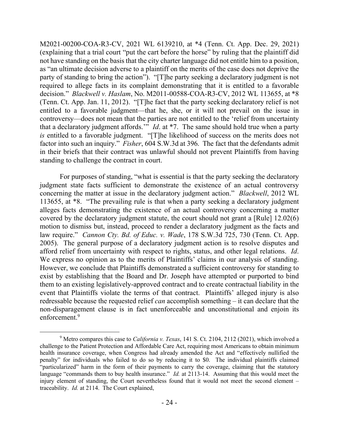M2021-00200-COA-R3-CV, 2021 WL 6139210, at \*4 (Tenn. Ct. App. Dec. 29, 2021) (explaining that a trial court "put the cart before the horse" by ruling that the plaintiff did not have standing on the basis that the city charter language did not entitle him to a position, as "an ultimate decision adverse to a plaintiff on the merits of the case does not deprive the party of standing to bring the action"). "[T]he party seeking a declaratory judgment is not required to allege facts in its complaint demonstrating that it is entitled to a favorable decision." *Blackwell v. Haslam*, No. M2011-00588-COA-R3-CV, 2012 WL 113655, at \*8 (Tenn. Ct. App. Jan. 11, 2012). "[T]he fact that the party seeking declaratory relief is not entitled to a favorable judgment—that he, she, or it will not prevail on the issue in controversy—does not mean that the parties are not entitled to the 'relief from uncertainty that a declaratory judgment affords.'" *Id*. at \*7. The same should hold true when a party *is* entitled to a favorable judgment. "[T]he likelihood of success on the merits does not factor into such an inquiry." *Fisher*, 604 S.W.3d at 396. The fact that the defendants admit in their briefs that their contract was unlawful should not prevent Plaintiffs from having standing to challenge the contract in court.

For purposes of standing, "what is essential is that the party seeking the declaratory judgment state facts sufficient to demonstrate the existence of an actual controversy concerning the matter at issue in the declaratory judgment action." *Blackwell*, 2012 WL 113655, at \*8. "The prevailing rule is that when a party seeking a declaratory judgment alleges facts demonstrating the existence of an actual controversy concerning a matter covered by the declaratory judgment statute, the court should not grant a [Rule] 12.02(6) motion to dismiss but, instead, proceed to render a declaratory judgment as the facts and law require." *Cannon Cty. Bd. of Educ. v. Wade*, 178 S.W.3d 725, 730 (Tenn. Ct. App. 2005). The general purpose of a declaratory judgment action is to resolve disputes and afford relief from uncertainty with respect to rights, status, and other legal relations. *Id*. We express no opinion as to the merits of Plaintiffs' claims in our analysis of standing. However, we conclude that Plaintiffs demonstrated a sufficient controversy for standing to exist by establishing that the Board and Dr. Joseph have attempted or purported to bind them to an existing legislatively-approved contract and to create contractual liability in the event that Plaintiffs violate the terms of that contract. Plaintiffs' alleged injury is also redressable because the requested relief *can* accomplish something – it can declare that the non-disparagement clause is in fact unenforceable and unconstitutional and enjoin its enforcement.<sup>9</sup>

 $\overline{a}$ 

<sup>9</sup> Metro compares this case to *California v. Texas*, 141 S. Ct. 2104, 2112 (2021), which involved a challenge to the Patient Protection and Affordable Care Act, requiring most Americans to obtain minimum health insurance coverage, when Congress had already amended the Act and "effectively nullified the penalty" for individuals who failed to do so by reducing it to \$0. The individual plaintiffs claimed "particularized" harm in the form of their payments to carry the coverage, claiming that the statutory language "commands them to buy health insurance." *Id.* at 2113-14.Assuming that this would meet the injury element of standing, the Court nevertheless found that it would not meet the second element – traceability. *Id.* at 2114. The Court explained,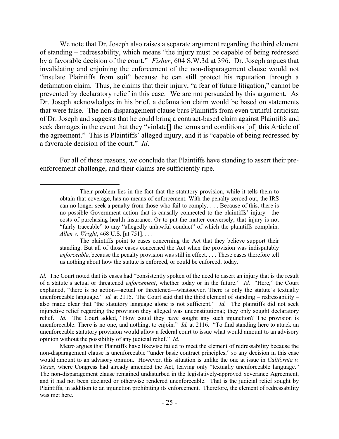We note that Dr. Joseph also raises a separate argument regarding the third element of standing – redressability, which means "the injury must be capable of being redressed by a favorable decision of the court." *Fisher*, 604 S.W.3d at 396. Dr. Joseph argues that invalidating and enjoining the enforcement of the non-disparagement clause would not "insulate Plaintiffs from suit" because he can still protect his reputation through a defamation claim. Thus, he claims that their injury, "a fear of future litigation," cannot be prevented by declaratory relief in this case. We are not persuaded by this argument. As Dr. Joseph acknowledges in his brief, a defamation claim would be based on statements that were false. The non-disparagement clause bars Plaintiffs from even truthful criticism of Dr. Joseph and suggests that he could bring a contract-based claim against Plaintiffs and seek damages in the event that they "violate[] the terms and conditions [of] this Article of the agreement." This is Plaintiffs' alleged injury, and it is "capable of being redressed by a favorable decision of the court." *Id*.

For all of these reasons, we conclude that Plaintiffs have standing to assert their preenforcement challenge, and their claims are sufficiently ripe.

 $\overline{a}$ 

Their problem lies in the fact that the statutory provision, while it tells them to obtain that coverage, has no means of enforcement. With the penalty zeroed out, the IRS can no longer seek a penalty from those who fail to comply. . . . Because of this, there is no possible Government action that is causally connected to the plaintiffs' injury—the costs of purchasing health insurance. Or to put the matter conversely, that injury is not "fairly traceable" to any "allegedly unlawful conduct" of which the plaintiffs complain. *Allen v. Wright*, 468 U.S. [at 751]. . . .

The plaintiffs point to cases concerning the Act that they believe support their standing. But all of those cases concerned the Act when the provision was indisputably *enforceable*, because the penalty provision was still in effect. . . . These cases therefore tell us nothing about how the statute is enforced, or could be enforced, today.

*Id.* The Court noted that its cases had "consistently spoken of the need to assert an injury that is the result of a statute's actual or threatened *enforcement*, whether today or in the future." *Id.* "Here," the Court explained, "there is no action—actual or threatened—whatsoever. There is only the statute's textually unenforceable language." *Id.* at 2115. The Court said that the third element of standing – redressability – also made clear that "the statutory language alone is not sufficient." *Id.* The plaintiffs did not seek injunctive relief regarding the provision they alleged was unconstitutional; they only sought declaratory relief. *Id.* The Court added, "How could they have sought any such injunction? The provision is unenforceable. There is no one, and nothing, to enjoin." *Id.* at 2116. "To find standing here to attack an unenforceable statutory provision would allow a federal court to issue what would amount to an advisory opinion without the possibility of any judicial relief." *Id.*

Metro argues that Plaintiffs have likewise failed to meet the element of redressability because the non-disparagement clause is unenforceable "under basic contract principles," so any decision in this case would amount to an advisory opinion. However, this situation is unlike the one at issue in *California v. Texas*, where Congress had already amended the Act, leaving only "textually unenforceable language." The non-disparagement clause remained undisturbed in the legislatively-approved Severance Agreement, and it had not been declared or otherwise rendered unenforceable. That is the judicial relief sought by Plaintiffs, in addition to an injunction prohibiting its enforcement. Therefore, the element of redressability was met here.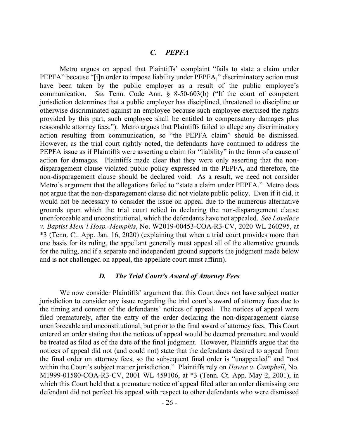# *C. PEPFA*

Metro argues on appeal that Plaintiffs' complaint "fails to state a claim under PEPFA" because "[i]n order to impose liability under PEPFA," discriminatory action must have been taken by the public employer as a result of the public employee's communication. *See* Tenn. Code Ann. § 8-50-603(b) ("If the court of competent jurisdiction determines that a public employer has disciplined, threatened to discipline or otherwise discriminated against an employee because such employee exercised the rights provided by this part, such employee shall be entitled to compensatory damages plus reasonable attorney fees."). Metro argues that Plaintiffs failed to allege any discriminatory action resulting from communication, so "the PEPFA claim" should be dismissed. However, as the trial court rightly noted, the defendants have continued to address the PEPFA issue as if Plaintiffs were asserting a claim for "liability" in the form of a cause of action for damages. Plaintiffs made clear that they were only asserting that the nondisparagement clause violated public policy expressed in the PEPFA, and therefore, the non-disparagement clause should be declared void. As a result, we need not consider Metro's argument that the allegations failed to "state a claim under PEPFA." Metro does not argue that the non-disparagement clause did not violate public policy. Even if it did, it would not be necessary to consider the issue on appeal due to the numerous alternative grounds upon which the trial court relied in declaring the non-disparagement clause unenforceable and unconstitutional, which the defendants have not appealed. *See Lovelace v. Baptist Mem'l Hosp.-Memphis*, No. W2019-00453-COA-R3-CV, 2020 WL 260295, at \*3 (Tenn. Ct. App. Jan. 16, 2020) (explaining that when a trial court provides more than one basis for its ruling, the appellant generally must appeal all of the alternative grounds for the ruling, and if a separate and independent ground supports the judgment made below and is not challenged on appeal, the appellate court must affirm).

### *D. The Trial Court's Award of Attorney Fees*

We now consider Plaintiffs' argument that this Court does not have subject matter jurisdiction to consider any issue regarding the trial court's award of attorney fees due to the timing and content of the defendants' notices of appeal. The notices of appeal were filed prematurely, after the entry of the order declaring the non-disparagement clause unenforceable and unconstitutional, but prior to the final award of attorney fees. This Court entered an order stating that the notices of appeal would be deemed premature and would be treated as filed as of the date of the final judgment. However, Plaintiffs argue that the notices of appeal did not (and could not) state that the defendants desired to appeal from the final order on attorney fees, so the subsequent final order is "unappealed" and "not within the Court's subject matter jurisdiction." Plaintiffs rely on *Howse v. Campbell*, No. M1999-01580-COA-R3-CV, 2001 WL 459106, at \*3 (Tenn. Ct. App. May 2, 2001), in which this Court held that a premature notice of appeal filed after an order dismissing one defendant did not perfect his appeal with respect to other defendants who were dismissed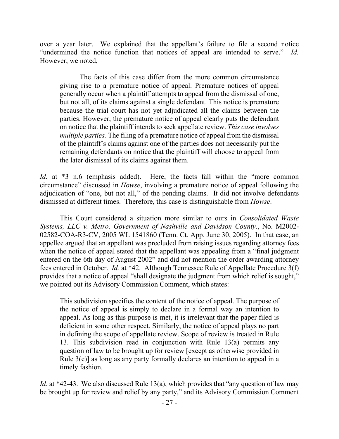over a year later. We explained that the appellant's failure to file a second notice "undermined the notice function that notices of appeal are intended to serve." *Id.*  However, we noted,

The facts of this case differ from the more common circumstance giving rise to a premature notice of appeal. Premature notices of appeal generally occur when a plaintiff attempts to appeal from the dismissal of one, but not all, of its claims against a single defendant. This notice is premature because the trial court has not yet adjudicated all the claims between the parties. However, the premature notice of appeal clearly puts the defendant on notice that the plaintiff intends to seek appellate review. *This case involves multiple parties.* The filing of a premature notice of appeal from the dismissal of the plaintiff's claims against one of the parties does not necessarily put the remaining defendants on notice that the plaintiff will choose to appeal from the later dismissal of its claims against them.

*Id.* at \*3 n.6 (emphasis added). Here, the facts fall within the "more common circumstance" discussed in *Howse*, involving a premature notice of appeal following the adjudication of "one, but not all," of the pending claims. It did not involve defendants dismissed at different times. Therefore, this case is distinguishable from *Howse*.

This Court considered a situation more similar to ours in *Consolidated Waste Systems, LLC v. Metro. Government of Nashville and Davidson County.*, No. M2002- 02582-COA-R3-CV, 2005 WL 1541860 (Tenn. Ct. App. June 30, 2005). In that case, an appellee argued that an appellant was precluded from raising issues regarding attorney fees when the notice of appeal stated that the appellant was appealing from a "final judgment" entered on the 6th day of August 2002" and did not mention the order awarding attorney fees entered in October. *Id.* at \*42. Although Tennessee Rule of Appellate Procedure 3(f) provides that a notice of appeal "shall designate the judgment from which relief is sought," we pointed out its Advisory Commission Comment, which states:

This subdivision specifies the content of the notice of appeal. The purpose of the notice of appeal is simply to declare in a formal way an intention to appeal. As long as this purpose is met, it is irrelevant that the paper filed is deficient in some other respect. Similarly, the notice of appeal plays no part in defining the scope of appellate review. Scope of review is treated in Rule 13. This subdivision read in conjunction with Rule 13(a) permits any question of law to be brought up for review [except as otherwise provided in Rule 3(e)] as long as any party formally declares an intention to appeal in a timely fashion.

*Id.* at \*42-43. We also discussed Rule 13(a), which provides that "any question of law may be brought up for review and relief by any party," and its Advisory Commission Comment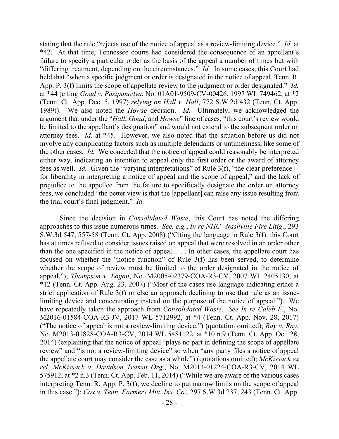stating that the rule "rejects use of the notice of appeal as a review-limiting device." *Id.* at \*42. At that time, Tennessee courts had considered the consequence of an appellant's failure to specify a particular order as the basis of the appeal a number of times but with "differing treatment, depending on the circumstances." *Id.* In some cases, this Court had held that "when a specific judgment or order is designated in the notice of appeal, Tenn. R. App. P. 3(f) limits the scope of appellate review to the judgment or order designated." *Id.* at \*44 (citing *Goad v. Pasipanodya*, No. 01A01-9509-CV-00426, 1997 WL 749462, at \*2 (Tenn. Ct. App. Dec. 5, 1997) *relying on Hall v. Hall*, 772 S.W.2d 432 (Tenn. Ct. App. 1989)). We also noted the *Howse* decision. *Id.* Ultimately, we acknowledged the argument that under the "*Hall*, *Goad*, and *Howse*" line of cases, "this court's review would be limited to the appellant's designation" and would not extend to the subsequent order on attorney fees. *Id.* at \*45. However, we also noted that the situation before us did not involve any complicating factors such as multiple defendants or untimeliness, like some of the other cases. *Id.* We conceded that the notice of appeal could reasonably be interpreted either way, indicating an intention to appeal only the first order or the award of attorney fees as well. *Id.* Given the "varying interpretations" of Rule 3(f), "the clear preference [] for liberality in interpreting a notice of appeal and the scope of appeal," and the lack of prejudice to the appellee from the failure to specifically designate the order on attorney fees, we concluded "the better view is that the [appellant] can raise any issue resulting from the trial court's final judgment." *Id.*

Since the decision in *Consolidated Waste*, this Court has noted the differing approaches to this issue numerous times. *See, e.g.*, *In re NHC--Nashville Fire Litig*., 293 S.W.3d 547, 557-58 (Tenn. Ct. App. 2008) ("Citing the language in Rule 3(f), this Court has at times refused to consider issues raised on appeal that were resolved in an order other than the one specified in the notice of appeal. . . . In other cases, the appellate court has focused on whether the "notice function" of Rule 3(f) has been served, to determine whether the scope of review must be limited to the order designated in the notice of appeal."); *Thompson v. Logan*, No. M2005-02379-COA-R3-CV, 2007 WL 2405130, at \*12 (Tenn. Ct. App. Aug. 23, 2007) ("Most of the cases use language indicating either a strict application of Rule 3(f) or else an approach declining to use that rule as an issuelimiting device and concentrating instead on the purpose of the notice of appeal."). We have repeatedly taken the approach from *Consolidated Waste*. *See In re Caleb F.*, No. M2016-01584-COA-R3-JV, 2017 WL 5712992, at \*4 (Tenn. Ct. App. Nov. 28, 2017) ("The notice of appeal is not a review-limiting device.") (quotation omitted); *Ray v. Ray*, No. M2013-01828-COA-R3-CV, 2014 WL 5481122, at \*10 n.9 (Tenn. Ct. App. Oct. 28, 2014) (explaining that the notice of appeal "plays no part in defining the scope of appellate review" and "is not a review-limiting device" so when "any party files a notice of appeal the appellate court may consider the case as a whole") (quotations omitted); *McKissack ex rel. McKissack v. Davidson Transit Org*., No. M2013-01224-COA-R3-CV, 2014 WL 575912, at \*2 n.3 (Tenn. Ct. App. Feb. 11, 2014) ("While we are aware of the various cases interpreting Tenn. R. App. P. 3(f), we decline to put narrow limits on the scope of appeal in this case."); *Cox v. Tenn. Farmers Mut. Ins. Co*., 297 S.W.3d 237, 243 (Tenn. Ct. App.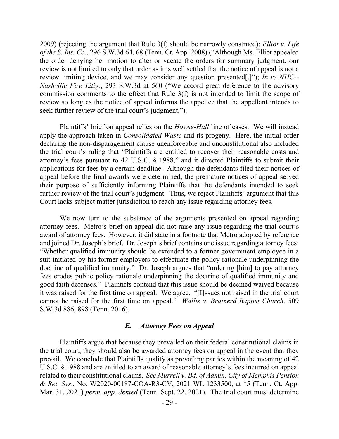2009) (rejecting the argument that Rule 3(f) should be narrowly construed); *Elliot v. Life of the S. Ins. Co.*, 296 S.W.3d 64, 68 (Tenn. Ct. App. 2008) ("Although Ms. Elliot appealed the order denying her motion to alter or vacate the orders for summary judgment, our review is not limited to only that order as it is well settled that the notice of appeal is not a review limiting device, and we may consider any question presented[.]"); *In re NHC-- Nashville Fire Litig.*, 293 S.W.3d at 560 ("We accord great deference to the advisory commission comments to the effect that Rule 3(f) is not intended to limit the scope of review so long as the notice of appeal informs the appellee that the appellant intends to seek further review of the trial court's judgment.").

Plaintiffs' brief on appeal relies on the *Howse*-*Hall* line of cases. We will instead apply the approach taken in *Consolidated Waste* and its progeny. Here, the initial order declaring the non-disparagement clause unenforceable and unconstitutional also included the trial court's ruling that "Plaintiffs are entitled to recover their reasonable costs and attorney's fees pursuant to 42 U.S.C. § 1988," and it directed Plaintiffs to submit their applications for fees by a certain deadline. Although the defendants filed their notices of appeal before the final awards were determined, the premature notices of appeal served their purpose of sufficiently informing Plaintiffs that the defendants intended to seek further review of the trial court's judgment. Thus, we reject Plaintiffs' argument that this Court lacks subject matter jurisdiction to reach any issue regarding attorney fees.

We now turn to the substance of the arguments presented on appeal regarding attorney fees. Metro's brief on appeal did not raise any issue regarding the trial court's award of attorney fees. However, it did state in a footnote that Metro adopted by reference and joined Dr. Joseph's brief. Dr. Joseph's brief contains one issue regarding attorney fees: "Whether qualified immunity should be extended to a former government employee in a suit initiated by his former employers to effectuate the policy rationale underpinning the doctrine of qualified immunity." Dr. Joseph argues that "ordering [him] to pay attorney fees erodes public policy rationale underpinning the doctrine of qualified immunity and good faith defenses." Plaintiffs contend that this issue should be deemed waived because it was raised for the first time on appeal. We agree. "[I]ssues not raised in the trial court cannot be raised for the first time on appeal." *Wallis v. Brainerd Baptist Church*, 509 S.W.3d 886, 898 (Tenn. 2016).

## *E. Attorney Fees on Appeal*

Plaintiffs argue that because they prevailed on their federal constitutional claims in the trial court, they should also be awarded attorney fees on appeal in the event that they prevail. We conclude that Plaintiffs qualify as prevailing parties within the meaning of 42 U.S.C. § 1988 and are entitled to an award of reasonable attorney's fees incurred on appeal related to their constitutional claims. *See Murrell v. Bd. of Admin. City of Memphis Pension & Ret. Sys*., No. W2020-00187-COA-R3-CV, 2021 WL 1233500, at \*5 (Tenn. Ct. App. Mar. 31, 2021) *perm. app. denied* (Tenn. Sept. 22, 2021). The trial court must determine